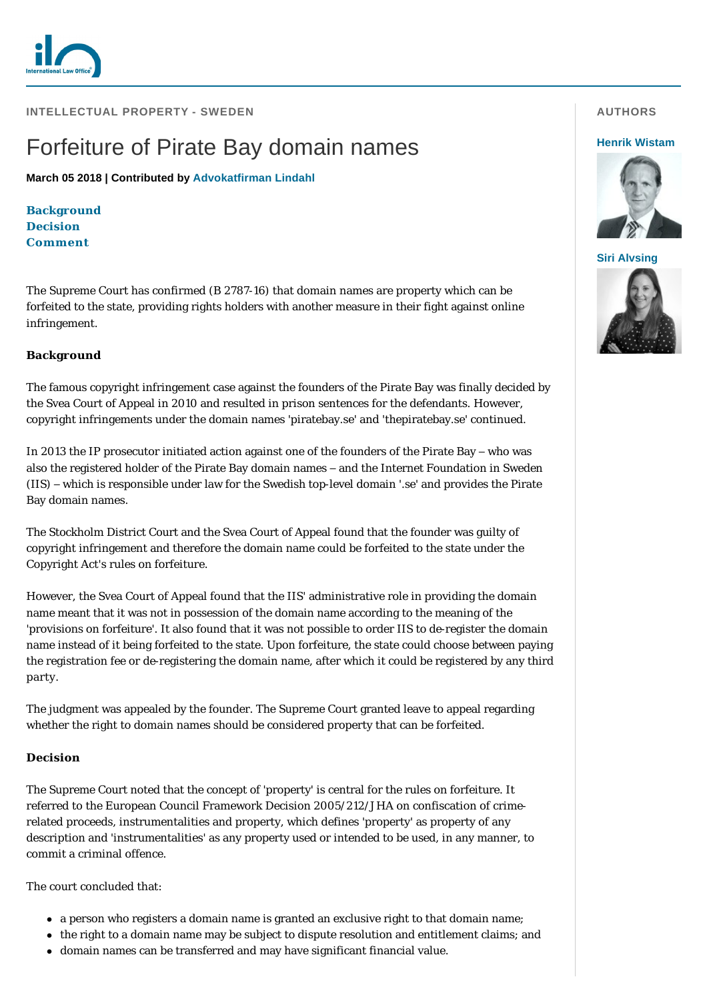

**INTELLECTUAL PROPERTY - SWEDEN** 

# Forfeiture of Pirate Bay domain names

**March 05 2018 | Contributed by [Advokatfirman Lindahl](http://www.internationallawoffice.com/gesr.ashx?l=7YDW7Z1)**

**[Background](#page-0-0) [Decision](#page-0-1) [Comment](#page-1-0)**

The Supreme Court has confirmed (B 2787-16) that domain names are property which can be forfeited to the state, providing rights holders with another measure in their fight against online infringement.

## <span id="page-0-0"></span>**Background**

The famous copyright infringement case against the founders of the Pirate Bay was finally decided by the Svea Court of Appeal in 2010 and resulted in prison sentences for the defendants. However, copyright infringements under the domain names 'piratebay.se' and 'thepiratebay.se' continued.

In 2013 the IP prosecutor initiated action against one of the founders of the Pirate Bay – who was also the registered holder of the Pirate Bay domain names – and the Internet Foundation in Sweden (IIS) – which is responsible under law for the Swedish top-level domain '.se' and provides the Pirate Bay domain names.

The Stockholm District Court and the Svea Court of Appeal found that the founder was guilty of copyright infringement and therefore the domain name could be forfeited to the state under the Copyright Act's rules on forfeiture.

However, the Svea Court of Appeal found that the IIS' administrative role in providing the domain name meant that it was not in possession of the domain name according to the meaning of the 'provisions on forfeiture'. It also found that it was not possible to order IIS to de-register the domain name instead of it being forfeited to the state. Upon forfeiture, the state could choose between paying the registration fee or de-registering the domain name, after which it could be registered by any third party.

The judgment was appealed by the founder. The Supreme Court granted leave to appeal regarding whether the right to domain names should be considered property that can be forfeited.

### <span id="page-0-1"></span>**Decision**

The Supreme Court noted that the concept of 'property' is central for the rules on forfeiture. It referred to the European Council Framework Decision 2005/212/JHA on confiscation of crimerelated proceeds, instrumentalities and property, which defines 'property' as property of any description and 'instrumentalities' as any property used or intended to be used, in any manner, to commit a criminal offence.

The court concluded that:

- a person who registers a domain name is granted an exclusive right to that domain name;
- the right to a domain name may be subject to dispute resolution and entitlement claims; and
- domain names can be transferred and may have significant financial value.

### **AUTHORS**

#### **[Henrik Wistam](http://www.internationallawoffice.com/gesr.ashx?l=7YDW7ZR)**



**[Siri Alvsing](http://www.internationallawoffice.com/gesr.ashx?l=7YDW7ZU)**